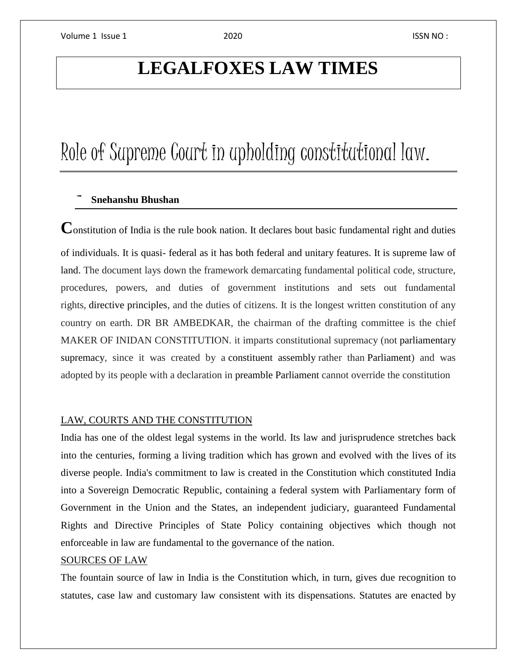## **LEGALFOXES LAW TIMES**

# Role of Supreme Court in upholding constitutional law.

### - **Snehanshu Bhushan**

Constitution of India is the rule book nation. It declares bout basic fundamental right and duties of individuals. It is quasi- federal as it has both federal and unitary features. It is supreme law of land. The document lays down the framework demarcating fundamental political code, structure, procedures, powers, and duties of government institutions and sets out fundamental rights, directive principles, and the duties of citizens. It is the longest written constitution of any country on earth. DR BR AMBEDKAR, the chairman of the drafting committee is the chief MAKER OF INIDAN CONSTITUTION. it imparts constitutional supremacy (not parliamentary supremacy, since it was created by a constituent assembly rather than Parliament) and was adopted by its people with a declaration in preamble Parliament cannot override the constitution

#### LAW, COURTS AND THE CONSTITUTION

India has one of the oldest legal systems in the world. Its law and jurisprudence stretches back into the centuries, forming a living tradition which has grown and evolved with the lives of its diverse people. India's commitment to law is created in the Constitution which constituted India into a Sovereign Democratic Republic, containing a federal system with Parliamentary form of Government in the Union and the States, an independent judiciary, guaranteed Fundamental Rights and Directive Principles of State Policy containing objectives which though not enforceable in law are fundamental to the governance of the nation.

#### SOURCES OF LAW

The fountain source of law in India is the Constitution which, in turn, gives due recognition to statutes, case law and customary law consistent with its dispensations. Statutes are enacted by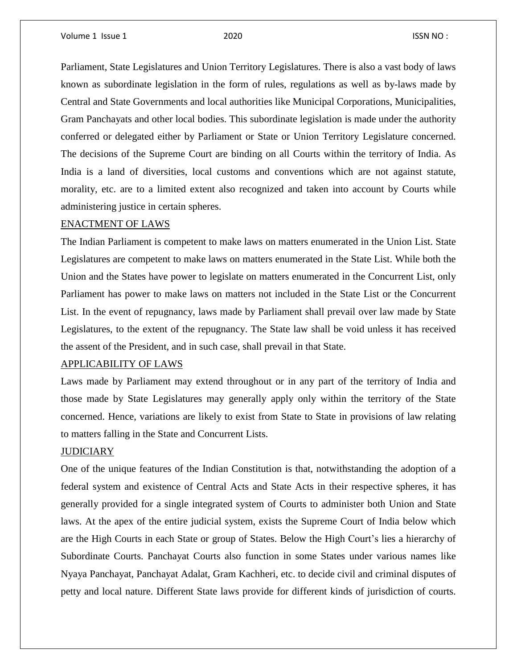Parliament, State Legislatures and Union Territory Legislatures. There is also a vast body of laws known as subordinate legislation in the form of rules, regulations as well as by-laws made by Central and State Governments and local authorities like Municipal Corporations, Municipalities, Gram Panchayats and other local bodies. This subordinate legislation is made under the authority conferred or delegated either by Parliament or State or Union Territory Legislature concerned. The decisions of the Supreme Court are binding on all Courts within the territory of India. As India is a land of diversities, local customs and conventions which are not against statute, morality, etc. are to a limited extent also recognized and taken into account by Courts while administering justice in certain spheres.

#### ENACTMENT OF LAWS

The Indian Parliament is competent to make laws on matters enumerated in the Union List. State Legislatures are competent to make laws on matters enumerated in the State List. While both the Union and the States have power to legislate on matters enumerated in the Concurrent List, only Parliament has power to make laws on matters not included in the State List or the Concurrent List. In the event of repugnancy, laws made by Parliament shall prevail over law made by State Legislatures, to the extent of the repugnancy. The State law shall be void unless it has received the assent of the President, and in such case, shall prevail in that State.

#### APPLICABILITY OF LAWS

Laws made by Parliament may extend throughout or in any part of the territory of India and those made by State Legislatures may generally apply only within the territory of the State concerned. Hence, variations are likely to exist from State to State in provisions of law relating to matters falling in the State and Concurrent Lists.

### **JUDICIARY**

One of the unique features of the Indian Constitution is that, notwithstanding the adoption of a federal system and existence of Central Acts and State Acts in their respective spheres, it has generally provided for a single integrated system of Courts to administer both Union and State laws. At the apex of the entire judicial system, exists the Supreme Court of India below which are the High Courts in each State or group of States. Below the High Court's lies a hierarchy of Subordinate Courts. Panchayat Courts also function in some States under various names like Nyaya Panchayat, Panchayat Adalat, Gram Kachheri, etc. to decide civil and criminal disputes of petty and local nature. Different State laws provide for different kinds of jurisdiction of courts.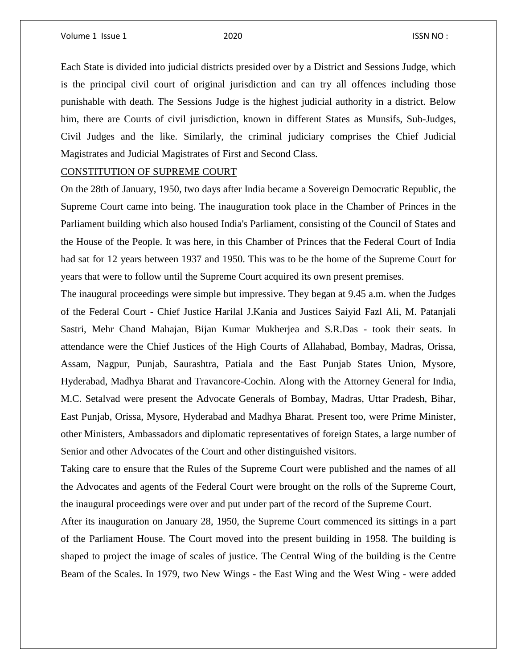Each State is divided into judicial districts presided over by a District and Sessions Judge, which is the principal civil court of original jurisdiction and can try all offences including those punishable with death. The Sessions Judge is the highest judicial authority in a district. Below him, there are Courts of civil jurisdiction, known in different States as Munsifs, Sub-Judges, Civil Judges and the like. Similarly, the criminal judiciary comprises the Chief Judicial Magistrates and Judicial Magistrates of First and Second Class.

#### CONSTITUTION OF SUPREME COURT

On the 28th of January, 1950, two days after India became a Sovereign Democratic Republic, the Supreme Court came into being. The inauguration took place in the Chamber of Princes in the Parliament building which also housed India's Parliament, consisting of the Council of States and the House of the People. It was here, in this Chamber of Princes that the Federal Court of India had sat for 12 years between 1937 and 1950. This was to be the home of the Supreme Court for years that were to follow until the Supreme Court acquired its own present premises.

The inaugural proceedings were simple but impressive. They began at 9.45 a.m. when the Judges of the Federal Court - Chief Justice Harilal J.Kania and Justices Saiyid Fazl Ali, M. Patanjali Sastri, Mehr Chand Mahajan, Bijan Kumar Mukherjea and S.R.Das - took their seats. In attendance were the Chief Justices of the High Courts of Allahabad, Bombay, Madras, Orissa, Assam, Nagpur, Punjab, Saurashtra, Patiala and the East Punjab States Union, Mysore, Hyderabad, Madhya Bharat and Travancore-Cochin. Along with the Attorney General for India, M.C. Setalvad were present the Advocate Generals of Bombay, Madras, Uttar Pradesh, Bihar, East Punjab, Orissa, Mysore, Hyderabad and Madhya Bharat. Present too, were Prime Minister, other Ministers, Ambassadors and diplomatic representatives of foreign States, a large number of Senior and other Advocates of the Court and other distinguished visitors.

Taking care to ensure that the Rules of the Supreme Court were published and the names of all the Advocates and agents of the Federal Court were brought on the rolls of the Supreme Court, the inaugural proceedings were over and put under part of the record of the Supreme Court.

After its inauguration on January 28, 1950, the Supreme Court commenced its sittings in a part of the Parliament House. The Court moved into the present building in 1958. The building is shaped to project the image of scales of justice. The Central Wing of the building is the Centre Beam of the Scales. In 1979, two New Wings - the East Wing and the West Wing - were added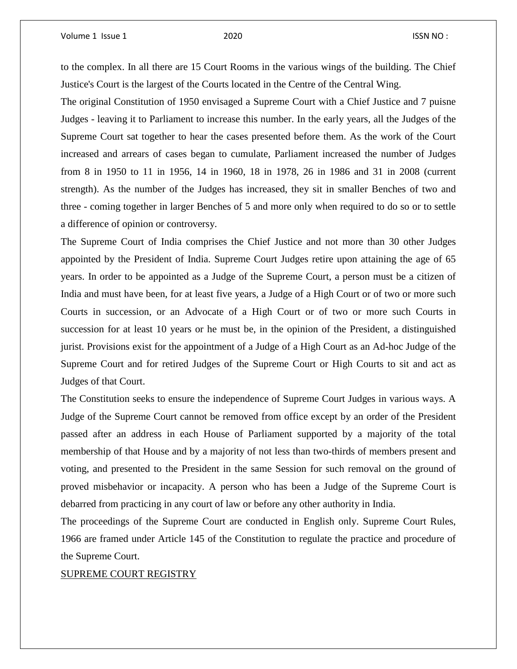to the complex. In all there are 15 Court Rooms in the various wings of the building. The Chief Justice's Court is the largest of the Courts located in the Centre of the Central Wing.

The original Constitution of 1950 envisaged a Supreme Court with a Chief Justice and 7 puisne Judges - leaving it to Parliament to increase this number. In the early years, all the Judges of the Supreme Court sat together to hear the cases presented before them. As the work of the Court increased and arrears of cases began to cumulate, Parliament increased the number of Judges from 8 in 1950 to 11 in 1956, 14 in 1960, 18 in 1978, 26 in 1986 and 31 in 2008 (current strength). As the number of the Judges has increased, they sit in smaller Benches of two and three - coming together in larger Benches of 5 and more only when required to do so or to settle a difference of opinion or controversy.

The Supreme Court of India comprises the Chief Justice and not more than 30 other Judges appointed by the President of India. Supreme Court Judges retire upon attaining the age of 65 years. In order to be appointed as a Judge of the Supreme Court, a person must be a citizen of India and must have been, for at least five years, a Judge of a High Court or of two or more such Courts in succession, or an Advocate of a High Court or of two or more such Courts in succession for at least 10 years or he must be, in the opinion of the President, a distinguished jurist. Provisions exist for the appointment of a Judge of a High Court as an Ad-hoc Judge of the Supreme Court and for retired Judges of the Supreme Court or High Courts to sit and act as Judges of that Court.

The Constitution seeks to ensure the independence of Supreme Court Judges in various ways. A Judge of the Supreme Court cannot be removed from office except by an order of the President passed after an address in each House of Parliament supported by a majority of the total membership of that House and by a majority of not less than two-thirds of members present and voting, and presented to the President in the same Session for such removal on the ground of proved misbehavior or incapacity. A person who has been a Judge of the Supreme Court is debarred from practicing in any court of law or before any other authority in India.

The proceedings of the Supreme Court are conducted in English only. Supreme Court Rules, 1966 are framed under Article 145 of the Constitution to regulate the practice and procedure of the Supreme Court.

#### SUPREME COURT REGISTRY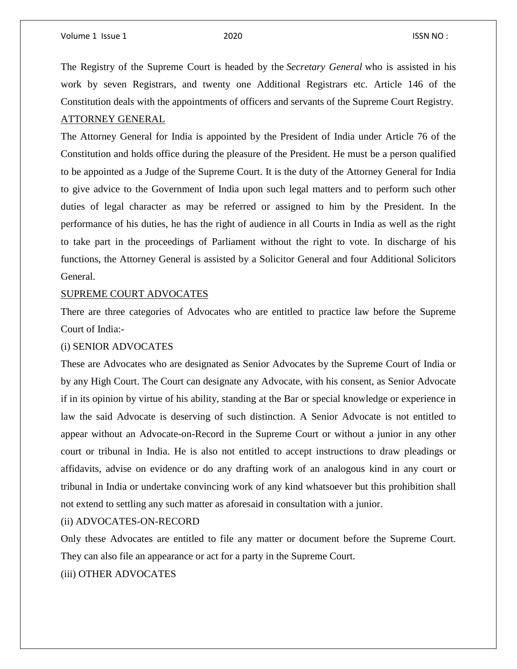The Registry of the Supreme Court is headed by the *Secretary General* who is assisted in his work by seven Registrars, and twenty one Additional Registrars etc. Article 146 of the Constitution deals with the appointments of officers and servants of the Supreme Court Registry. ATTORNEY GENERAL

The Attorney General for India is appointed by the President of India under Article 76 of the Constitution and holds office during the pleasure of the President. He must be a person qualified to be appointed as a Judge of the Supreme Court. It is the duty of the Attorney General for India to give advice to the Government of India upon such legal matters and to perform such other duties of legal character as may be referred or assigned to him by the President. In the performance of his duties, he has the right of audience in all Courts in India as well as the right to take part in the proceedings of Parliament without the right to vote. In discharge of his functions, the Attorney General is assisted by a Solicitor General and four Additional Solicitors General.

#### SUPREME COURT ADVOCATES

There are three categories of Advocates who are entitled to practice law before the Supreme Court of India:-

#### (i) SENIOR ADVOCATES

These are Advocates who are designated as Senior Advocates by the Supreme Court of India or by any High Court. The Court can designate any Advocate, with his consent, as Senior Advocate if in its opinion by virtue of his ability, standing at the Bar or special knowledge or experience in law the said Advocate is deserving of such distinction. A Senior Advocate is not entitled to appear without an Advocate-on-Record in the Supreme Court or without a junior in any other court or tribunal in India. He is also not entitled to accept instructions to draw pleadings or affidavits, advise on evidence or do any drafting work of an analogous kind in any court or tribunal in India or undertake convincing work of any kind whatsoever but this prohibition shall not extend to settling any such matter as aforesaid in consultation with a junior.

#### (ii) ADVOCATES-ON-RECORD

Only these Advocates are entitled to file any matter or document before the Supreme Court. They can also file an appearance or act for a party in the Supreme Court.

#### (iii) OTHER ADVOCATES